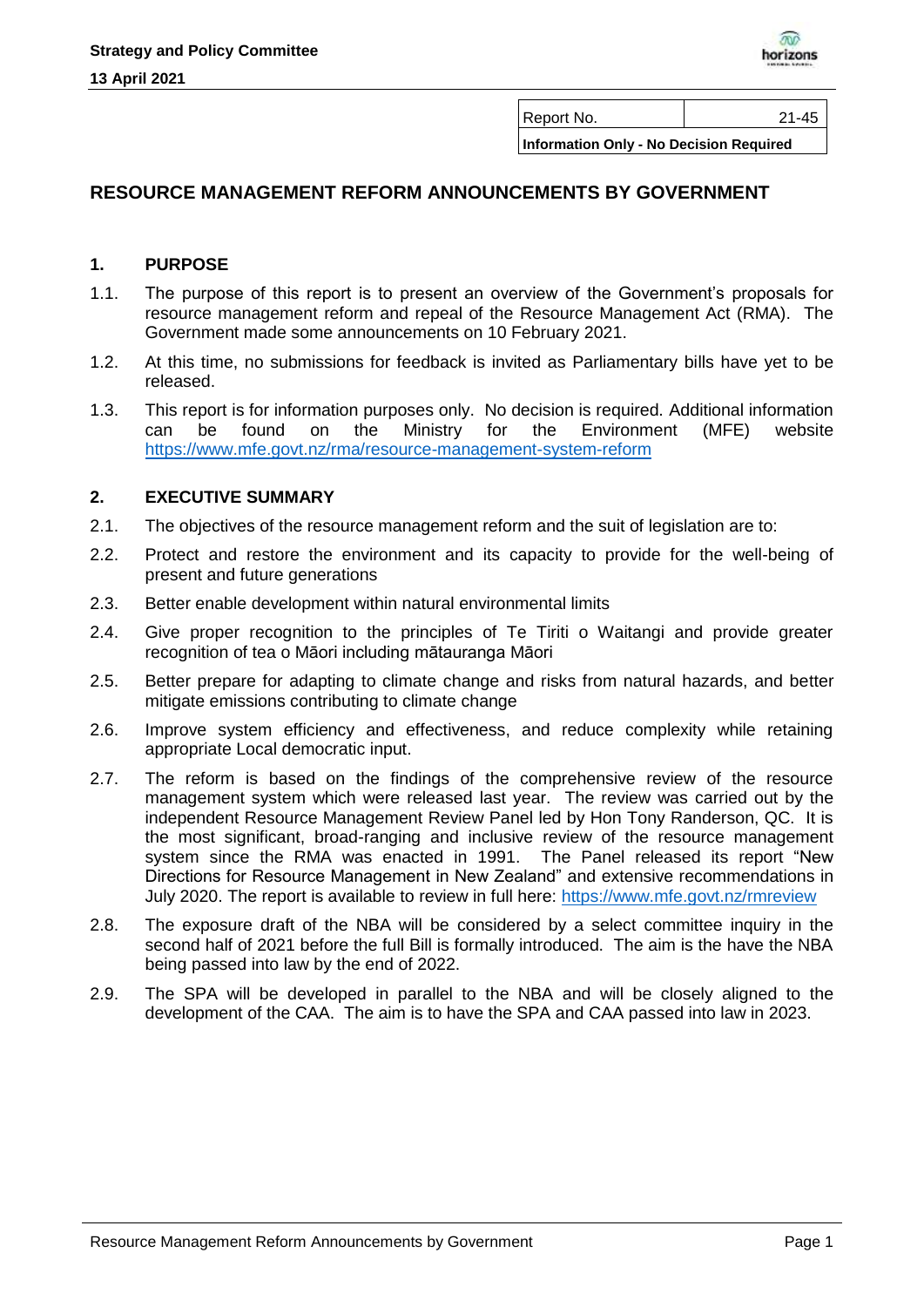

Report No.  $\vert$  21-45

**Information Only - No Decision Required**

# **RESOURCE MANAGEMENT REFORM ANNOUNCEMENTS BY GOVERNMENT**

#### **1. PURPOSE**

- 1.1. The purpose of this report is to present an overview of the Government's proposals for resource management reform and repeal of the Resource Management Act (RMA). The Government made some announcements on 10 February 2021.
- 1.2. At this time, no submissions for feedback is invited as Parliamentary bills have yet to be released.
- 1.3. This report is for information purposes only. No decision is required. Additional information can be found on the Ministry for the Environment (MFE) website <https://www.mfe.govt.nz/rma/resource-management-system-reform>

#### **2. EXECUTIVE SUMMARY**

- 2.1. The objectives of the resource management reform and the suit of legislation are to:
- 2.2. Protect and restore the environment and its capacity to provide for the well-being of present and future generations
- 2.3. Better enable development within natural environmental limits
- 2.4. Give proper recognition to the principles of Te Tiriti o Waitangi and provide greater recognition of tea o Māori including mātauranga Māori
- 2.5. Better prepare for adapting to climate change and risks from natural hazards, and better mitigate emissions contributing to climate change
- 2.6. Improve system efficiency and effectiveness, and reduce complexity while retaining appropriate Local democratic input.
- 2.7. The reform is based on the findings of the comprehensive review of the resource management system which were released last year. The review was carried out by the independent Resource Management Review Panel led by Hon Tony Randerson, QC. It is the most significant, broad-ranging and inclusive review of the resource management system since the RMA was enacted in 1991. The Panel released its report "New Directions for Resource Management in New Zealand" and extensive recommendations in July 2020. The report is available to review in full here:<https://www.mfe.govt.nz/rmreview>
- 2.8. The exposure draft of the NBA will be considered by a select committee inquiry in the second half of 2021 before the full Bill is formally introduced. The aim is the have the NBA being passed into law by the end of 2022.
- 2.9. The SPA will be developed in parallel to the NBA and will be closely aligned to the development of the CAA. The aim is to have the SPA and CAA passed into law in 2023.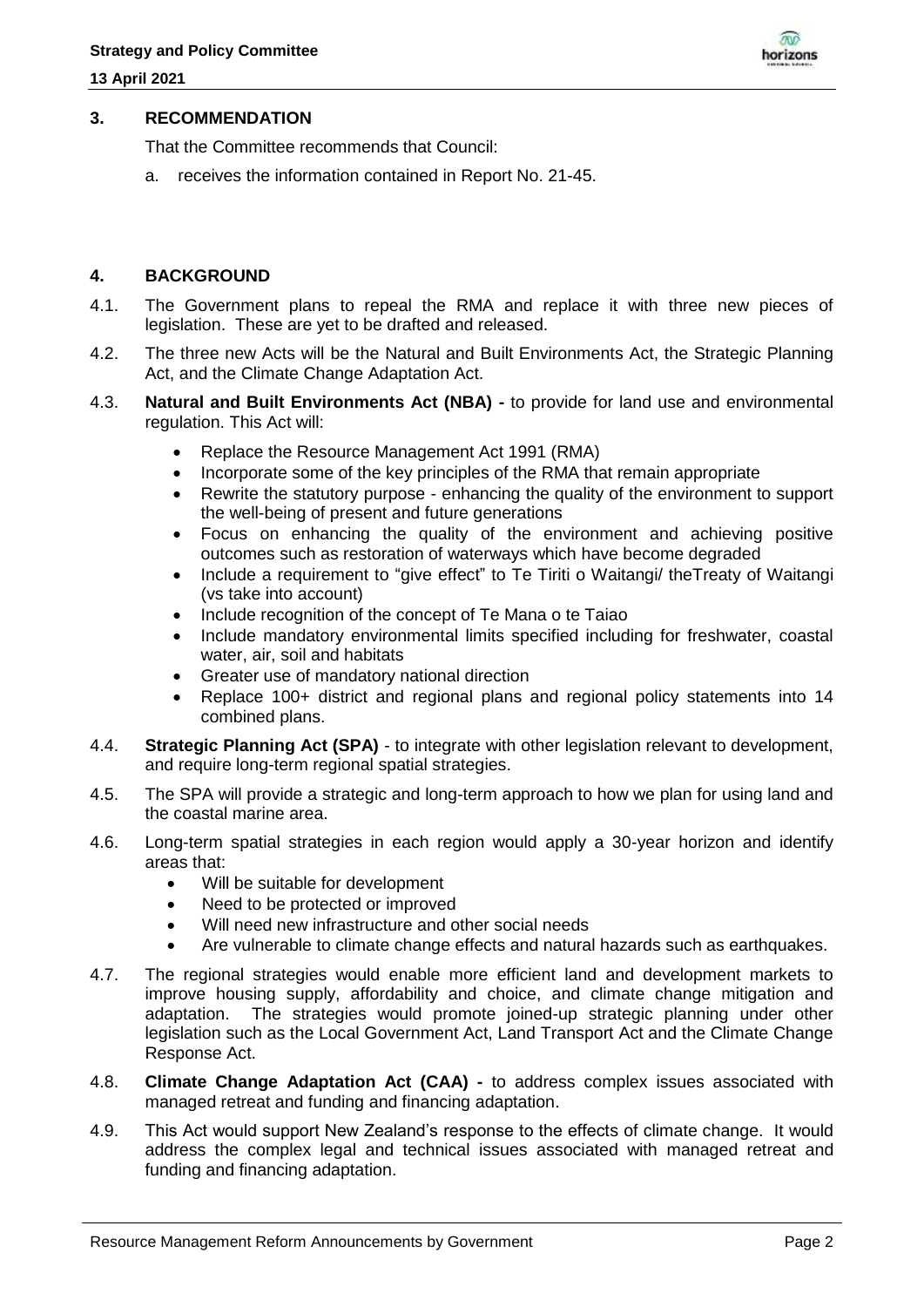

#### **3. RECOMMENDATION**

That the Committee recommends that Council:

a. receives the information contained in Report No. 21-45.

## **4. BACKGROUND**

- 4.1. The Government plans to repeal the RMA and replace it with three new pieces of legislation. These are yet to be drafted and released.
- 4.2. The three new Acts will be the Natural and Built Environments Act, the Strategic Planning Act, and the Climate Change Adaptation Act.
- 4.3. **Natural and Built Environments Act (NBA) -** to provide for land use and environmental regulation. This Act will:
	- Replace the Resource Management Act 1991 (RMA)
	- Incorporate some of the key principles of the RMA that remain appropriate
	- Rewrite the statutory purpose enhancing the quality of the environment to support the well-being of present and future generations
	- Focus on enhancing the quality of the environment and achieving positive outcomes such as restoration of waterways which have become degraded
	- Include a requirement to "give effect" to Te Tiriti o Waitangi/ the Treaty of Waitangi (vs take into account)
	- Include recognition of the concept of Te Mana o te Taiao
	- Include mandatory environmental limits specified including for freshwater, coastal water, air, soil and habitats
	- Greater use of mandatory national direction
	- Replace 100+ district and regional plans and regional policy statements into 14 combined plans.
- 4.4. **Strategic Planning Act (SPA)** to integrate with other legislation relevant to development, and require long-term regional spatial strategies.
- 4.5. The SPA will provide a strategic and long-term approach to how we plan for using land and the coastal marine area.
- 4.6. Long-term spatial strategies in each region would apply a 30-year horizon and identify areas that:
	- Will be suitable for development
	- Need to be protected or improved
	- Will need new infrastructure and other social needs
	- Are vulnerable to climate change effects and natural hazards such as earthquakes.
- 4.7. The regional strategies would enable more efficient land and development markets to improve housing supply, affordability and choice, and climate change mitigation and adaptation. The strategies would promote joined-up strategic planning under other legislation such as the Local Government Act, Land Transport Act and the Climate Change Response Act.
- 4.8. **Climate Change Adaptation Act (CAA) -** to address complex issues associated with managed retreat and funding and financing adaptation.
- 4.9. This Act would support New Zealand's response to the effects of climate change. It would address the complex legal and technical issues associated with managed retreat and funding and financing adaptation.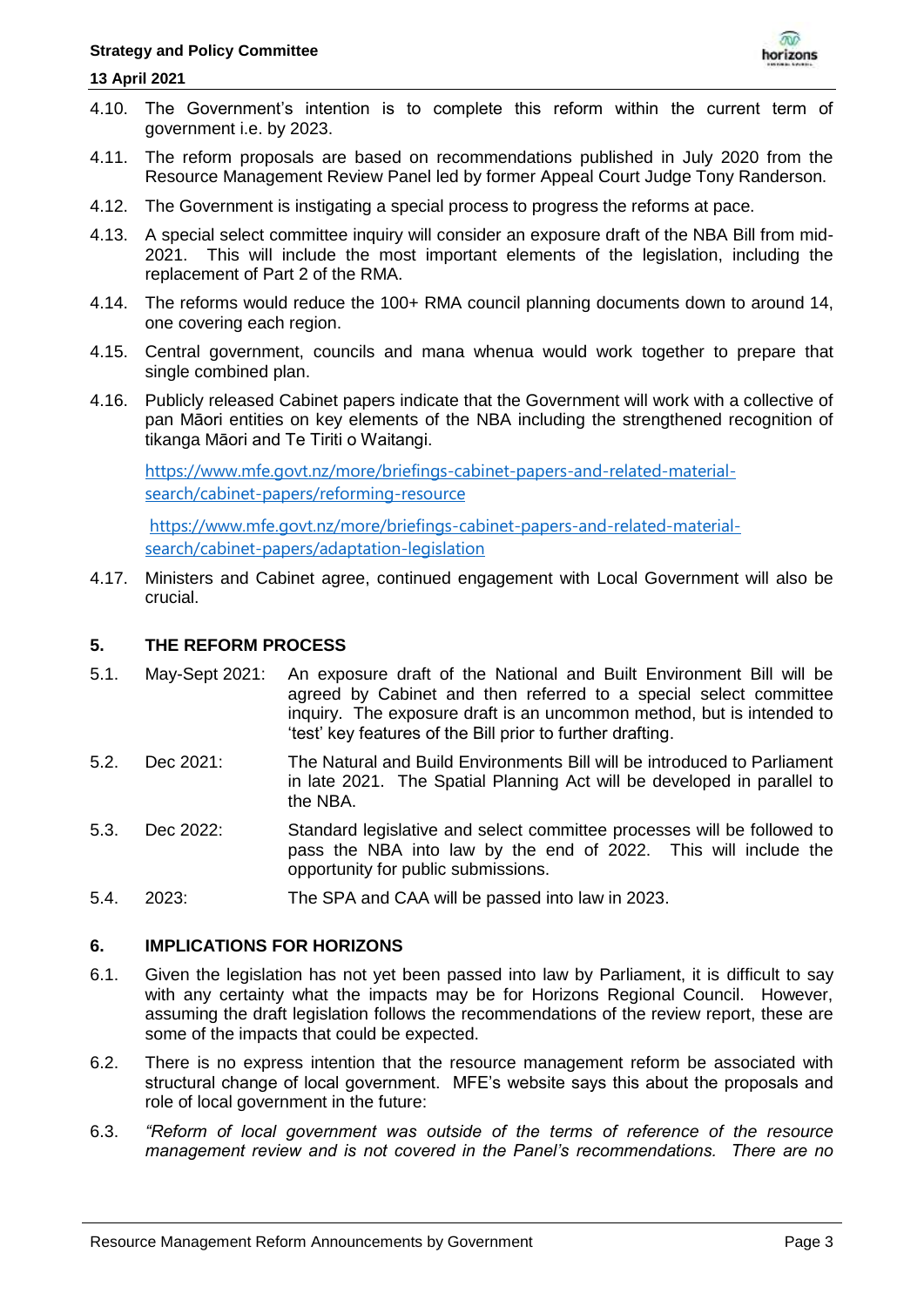#### **13 April 2021**



- 4.10. The Government's intention is to complete this reform within the current term of government i.e. by 2023.
- 4.11. The reform proposals are based on recommendations published in July 2020 from the Resource Management Review Panel led by former Appeal Court Judge Tony Randerson.
- 4.12. The Government is instigating a special process to progress the reforms at pace.
- 4.13. A special select committee inquiry will consider an exposure draft of the NBA Bill from mid-2021. This will include the most important elements of the legislation, including the replacement of Part 2 of the RMA.
- 4.14. The reforms would reduce the 100+ RMA council planning documents down to around 14, one covering each region.
- 4.15. Central government, councils and mana whenua would work together to prepare that single combined plan.
- 4.16. Publicly released Cabinet papers indicate that the Government will work with a collective of pan Māori entities on key elements of the NBA including the strengthened recognition of tikanga Māori and Te Tiriti o Waitangi.

[https://www.mfe.govt.nz/more/briefings-cabinet-papers-and-related-material](https://www.mfe.govt.nz/more/briefings-cabinet-papers-and-related-material-search/cabinet-papers/reforming-resource)[search/cabinet-papers/reforming-resource](https://www.mfe.govt.nz/more/briefings-cabinet-papers-and-related-material-search/cabinet-papers/reforming-resource)

[https://www.mfe.govt.nz/more/briefings-cabinet-papers-and-related-material](https://www.mfe.govt.nz/more/briefings-cabinet-papers-and-related-material-search/cabinet-papers/adaptation-legislation)[search/cabinet-papers/adaptation-legislation](https://www.mfe.govt.nz/more/briefings-cabinet-papers-and-related-material-search/cabinet-papers/adaptation-legislation)

4.17. Ministers and Cabinet agree, continued engagement with Local Government will also be crucial.

## **5. THE REFORM PROCESS**

- 5.1. May-Sept 2021: An exposure draft of the National and Built Environment Bill will be agreed by Cabinet and then referred to a special select committee inquiry. The exposure draft is an uncommon method, but is intended to 'test' key features of the Bill prior to further drafting.
- 5.2. Dec 2021: The Natural and Build Environments Bill will be introduced to Parliament in late 2021. The Spatial Planning Act will be developed in parallel to the NBA.
- 5.3. Dec 2022: Standard legislative and select committee processes will be followed to pass the NBA into law by the end of 2022. This will include the opportunity for public submissions.
- 5.4. 2023: The SPA and CAA will be passed into law in 2023.

## **6. IMPLICATIONS FOR HORIZONS**

- 6.1. Given the legislation has not yet been passed into law by Parliament, it is difficult to say with any certainty what the impacts may be for Horizons Regional Council. However, assuming the draft legislation follows the recommendations of the review report, these are some of the impacts that could be expected.
- 6.2. There is no express intention that the resource management reform be associated with structural change of local government. MFE's website says this about the proposals and role of local government in the future:
- 6.3. *"Reform of local government was outside of the terms of reference of the resource management review and is not covered in the Panel's recommendations. There are no*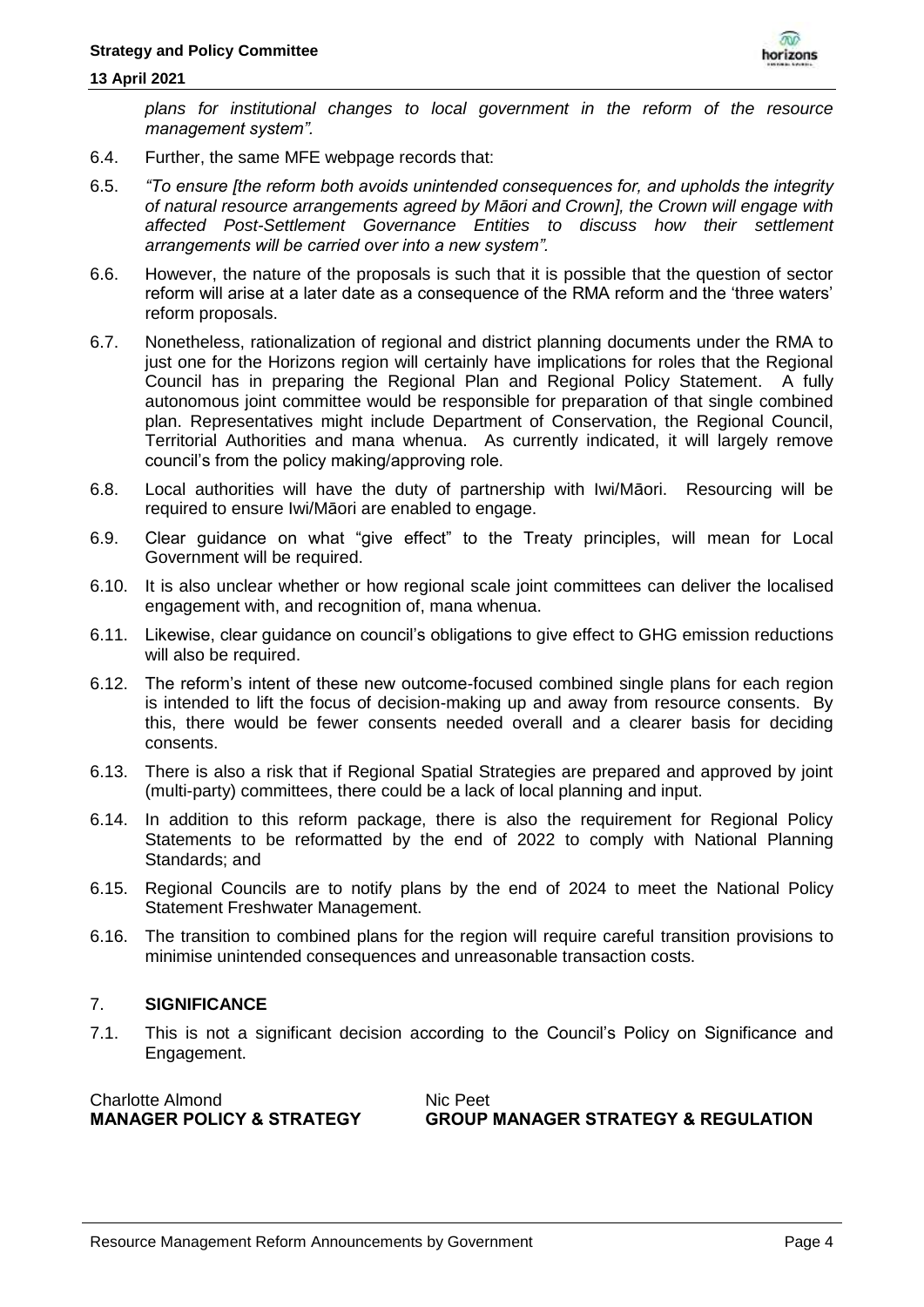#### **13 April 2021**



*plans for institutional changes to local government in the reform of the resource management system".*

- 6.4. Further, the same MFE webpage records that:
- 6.5. *"To ensure [the reform both avoids unintended consequences for, and upholds the integrity of natural resource arrangements agreed by Māori and Crown], the Crown will engage with affected Post-Settlement Governance Entities to discuss how their settlement arrangements will be carried over into a new system".*
- 6.6. However, the nature of the proposals is such that it is possible that the question of sector reform will arise at a later date as a consequence of the RMA reform and the 'three waters' reform proposals.
- 6.7. Nonetheless, rationalization of regional and district planning documents under the RMA to just one for the Horizons region will certainly have implications for roles that the Regional Council has in preparing the Regional Plan and Regional Policy Statement. A fully autonomous joint committee would be responsible for preparation of that single combined plan. Representatives might include Department of Conservation, the Regional Council, Territorial Authorities and mana whenua. As currently indicated, it will largely remove council's from the policy making/approving role.
- 6.8. Local authorities will have the duty of partnership with Iwi/Māori. Resourcing will be required to ensure Iwi/Māori are enabled to engage.
- 6.9. Clear guidance on what "give effect" to the Treaty principles, will mean for Local Government will be required.
- 6.10. It is also unclear whether or how regional scale joint committees can deliver the localised engagement with, and recognition of, mana whenua.
- 6.11. Likewise, clear guidance on council's obligations to give effect to GHG emission reductions will also be required.
- 6.12. The reform's intent of these new outcome-focused combined single plans for each region is intended to lift the focus of decision-making up and away from resource consents. By this, there would be fewer consents needed overall and a clearer basis for deciding consents.
- 6.13. There is also a risk that if Regional Spatial Strategies are prepared and approved by joint (multi-party) committees, there could be a lack of local planning and input.
- 6.14. In addition to this reform package, there is also the requirement for Regional Policy Statements to be reformatted by the end of 2022 to comply with National Planning Standards; and
- 6.15. Regional Councils are to notify plans by the end of 2024 to meet the National Policy Statement Freshwater Management.
- 6.16. The transition to combined plans for the region will require careful transition provisions to minimise unintended consequences and unreasonable transaction costs.

## 7. **SIGNIFICANCE**

7.1. This is not a significant decision according to the Council's Policy on Significance and Engagement.

| <b>Charlotte Almond</b>              | Nic Peet                                       |
|--------------------------------------|------------------------------------------------|
| <b>MANAGER POLICY &amp; STRATEGY</b> | <b>GROUP MANAGER STRATEGY &amp; REGULATION</b> |